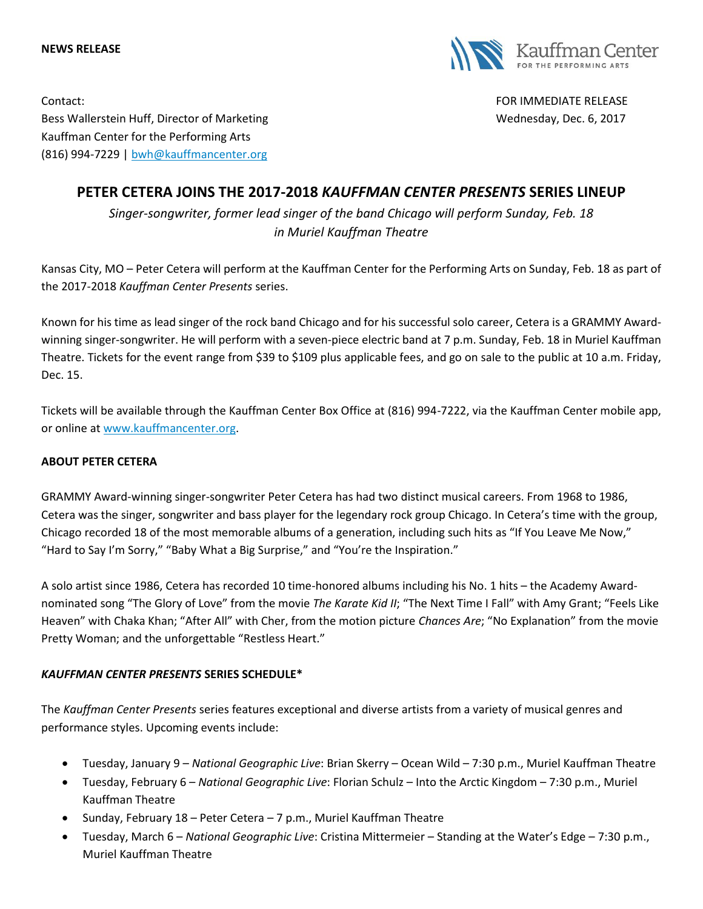**NEWS RELEASE**



Contact: FOR IMMEDIATE RELEASE Bess Wallerstein Huff, Director of Marketing Wednesday, Dec. 6, 2017 Kauffman Center for the Performing Arts (816) 994-7229 | [bwh@kauffmancenter.org](mailto:bwh@kauffmancenter.org)

## **PETER CETERA JOINS THE 2017-2018** *KAUFFMAN CENTER PRESENTS* **SERIES LINEUP**

*Singer-songwriter, former lead singer of the band Chicago will perform Sunday, Feb. 18 in Muriel Kauffman Theatre*

Kansas City, MO – Peter Cetera will perform at the Kauffman Center for the Performing Arts on Sunday, Feb. 18 as part of the 2017-2018 *Kauffman Center Presents* series.

Known for his time as lead singer of the rock band Chicago and for his successful solo career, Cetera is a GRAMMY Awardwinning singer-songwriter. He will perform with a seven-piece electric band at 7 p.m. Sunday, Feb. 18 in Muriel Kauffman Theatre. Tickets for the event range from \$39 to \$109 plus applicable fees, and go on sale to the public at 10 a.m. Friday, Dec. 15.

Tickets will be available through the Kauffman Center Box Office at (816) 994-7222, via the Kauffman Center mobile app, or online at [www.kauffmancenter.org.](http://www.kauffmancenter.org/)

## **ABOUT PETER CETERA**

GRAMMY Award-winning singer-songwriter Peter Cetera has had two distinct musical careers. From 1968 to 1986, Cetera was the singer, songwriter and bass player for the legendary rock group Chicago. In Cetera's time with the group, Chicago recorded 18 of the most memorable albums of a generation, including such hits as "If You Leave Me Now," "Hard to Say I'm Sorry," "Baby What a Big Surprise," and "You're the Inspiration."

A solo artist since 1986, Cetera has recorded 10 time-honored albums including his No. 1 hits – the Academy Awardnominated song "The Glory of Love" from the movie *The Karate Kid II*; "The Next Time I Fall" with Amy Grant; "Feels Like Heaven" with Chaka Khan; "After All" with Cher, from the motion picture *Chances Are*; "No Explanation" from the movie Pretty Woman; and the unforgettable "Restless Heart."

## *KAUFFMAN CENTER PRESENTS* **SERIES SCHEDULE\***

The *Kauffman Center Presents* series features exceptional and diverse artists from a variety of musical genres and performance styles. Upcoming events include:

- Tuesday, January 9 *National Geographic Live*: Brian Skerry Ocean Wild 7:30 p.m., Muriel Kauffman Theatre
- Tuesday, February 6 *National Geographic Live*: Florian Schulz Into the Arctic Kingdom 7:30 p.m., Muriel Kauffman Theatre
- Sunday, February 18 Peter Cetera 7 p.m., Muriel Kauffman Theatre
- Tuesday, March 6 *National Geographic Live*: Cristina Mittermeier Standing at the Water's Edge 7:30 p.m., Muriel Kauffman Theatre